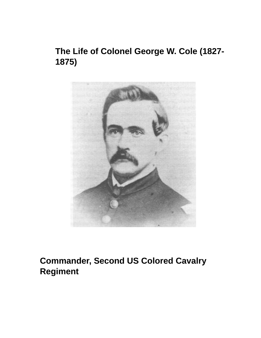# **The Life of Colonel George W. Cole (1827- 1875)**



# **Commander, Second US Colored Cavalry Regiment**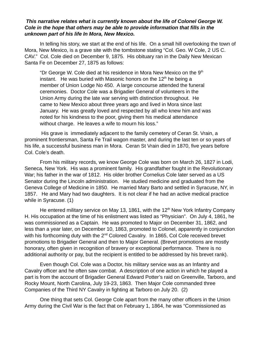#### *This narrative relates what is currently known about the life of Colonel George W. Cole in the hope that others may be able to provide information that fills in the unknown part of his life In Mora, New Mexico.*

In telling his story, we start at the end of his life. On a small hill overlooking the town of Mora, New Mexico, is a grave site with the tombstone stating "Col. Geo. W Cole, 2 US C. CAV." Col. Cole died on December 9, 1875. His obituary ran in the Daily New Mexican Santa Fe on December 27, 1875 as follows:

"Dr George W. Cole died at his residence in Mora New Mexico on the  $9<sup>th</sup>$ instant. He was buried with Masonic honors on the  $12<sup>th</sup>$  he being a member of Union Lodge No 450. A large concourse attended the funeral ceremonies. Doctor Cole was a Brigadier General of volunteers in the Union Army during the late war serving with distinction throughout. He came to New Mexico about three years ago and lived in Mora since last January. He was greatly loved and respected by all who knew him and was noted for his kindness to the poor, giving them his medical attendance without charge. He leaves a wife to mourn his loss."

 His grave is immediately adjacent to the family cemetery of Ceran St. Vrain, a prominent frontiersman, Santa Fe Trail wagon master, and during the last ten or so years of his life, a successful business man in Mora. Ceran St Vrain died in 1870, five years before Col. Cole's death.

From his military records, we know George Cole was born on March 26, 1827 in Lodi, Seneca, New York. His was a prominent family. His grandfather fought in the Revolutionary War; his father in the war of 1812. His older brother Cornelius Cole later served as a US Senator during the Lincoln administration. He studied medicine and graduated from the Geneva College of Medicine in 1850. He married Mary Barto and settled in Syracuse, NY, in 1857. He and Mary had two daughters. It is not clear if he had an active medical practice while in Syracuse. (1)

He entered military service on May 13, 1861, with the  $12<sup>th</sup>$  New York Infantry Company H. His occupation at the time of his enlistment was listed as "Physician". On July 4, 1861, he was commissioned as a Captain. He was promoted to Major on December 31, 1862, and less than a year later, on December 10, 1863, promoted to Colonel, apparently in conjunction with his forthcoming duty with the 2<sup>nd</sup> Colored Cavalry. In 1865, Col Cole received brevet promotions to Brigadier General and then to Major General. (Brevet promotions are mostly honorary, often given in recognition of bravery or exceptional performance. There is no additional authority or pay, but the recipient is entitled to be addressed by his brevet rank).

Even though Col. Cole was a Doctor, his military service was as an Infantry and Cavalry officer and he often saw combat. A description of one action in which he played a part is from the account of Brigadier General Edward Potter's raid on Greenville, Tarboro, and Rocky Mount, North Carolina, July 19-23, 1863. Then Major Cole commanded three Companies of the Third NY Cavalry in fighting at Tarboro on July 20. (2)

One thing that sets Col. George Cole apart from the many other officers in the Union Army during the Civil War is the fact that on February 1, 1864, he was "Commissioned as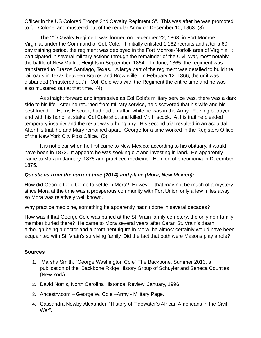Officer in the US Colored Troops 2nd Cavalry Regiment S". This was after he was promoted to full Colonel and mustered out of the regular Army on December 10, 1863. (3)

The 2nd Cavalry Regiment was formed on December 22, 1863, in Fort Monroe, Virginia, under the Command of Col. Cole. It initially enlisted 1,162 recruits and after a 60 day training period, the regiment was deployed in the Fort Monroe-Norfolk area of Virginia. It participated in several military actions through the remainder of the Civil War, most notably the battle of New Market Heights in September, 1864. In June, 1865, the regiment was transferred to Brazos Santiago, Texas. A large part of the regiment was detailed to build the railroads in Texas between Brazos and Brownville. In February 12, 1866, the unit was disbanded ("mustered out"). Col. Cole was with the Regiment the entire time and he was also mustered out at that time. (4)

As straight forward and impressive as Col Cole's military service was, there was a dark side to his life. After he returned from military service, he discovered that his wife and his best friend, L. Harris Hiscock, had had an affair while he was in the Army. Feeling betrayed and with his honor at stake, Col Cole shot and killed Mr. Hiscock. At his trail he pleaded temporary insanity and the result was a hung jury. His second trial resulted in an acquittal. After his trial, he and Mary remained apart. George for a time worked in the Registers Office of the New York City Post Office. (5)

It is not clear when he first came to New Mexico; according to his obituary, it would have been in 1872. It appears he was seeking out and investing in land. He apparently came to Mora in January, 1875 and practiced medicine. He died of pneumonia in December, 1875.

## *Questions from the current time (2014) and place (Mora, New Mexico):*

How did George Cole Come to settle in Mora? However, that may not be much of a mystery since Mora at the time was a prosperous community with Fort Union only a few miles away, so Mora was relatively well known.

Why practice medicine, something he apparently hadn't done in several decades?

How was it that George Cole was buried at the St. Vrain family cemetery, the only non-family member buried there? He came to Mora several years after Ceran St. Vrain's death, although being a doctor and a prominent figure in Mora, he almost certainly would have been acquainted with St. Vrain's surviving family. Did the fact that both were Masons play a role?

## **Sources**

- 1. Marsha Smith, "George Washington Cole" The Backbone, Summer 2013, a publication of the Backbone Ridge History Group of Schuyler and Seneca Counties (New York)
- 2. David Norris, North Carolina Historical Review, January, 1996
- 3. Ancestry.com George W. Cole –Army Military Page.
- 4. Cassandra Newby-Alexander, "History of Tidewater's African Americans in the Civil War".